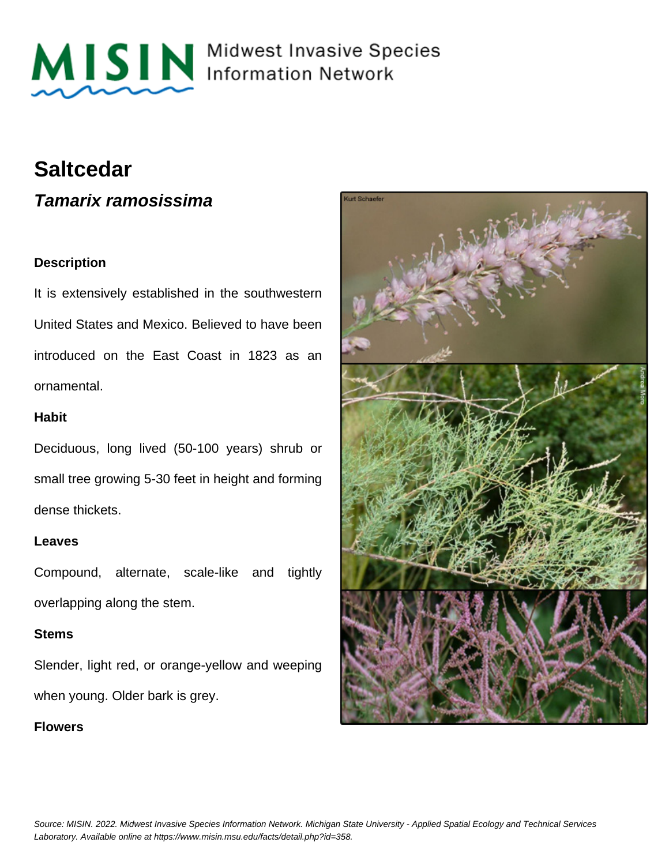

MISIN Midwest Invasive Species

# **Saltcedar**

**Tamarix ramosissima**

# **Description**

It is extensively established in the southwestern United States and Mexico. Believed to have been introduced on the East Coast in 1823 as an ornamental.

## **Habit**

Deciduous, long lived (50-100 years) shrub or small tree growing 5-30 feet in height and forming dense thickets.

#### **Leaves**

Compound, alternate, scale-like and tightly overlapping along the stem.

#### **Stems**

Slender, light red, or orange-yellow and weeping when young. Older bark is grey.

# **Flowers**

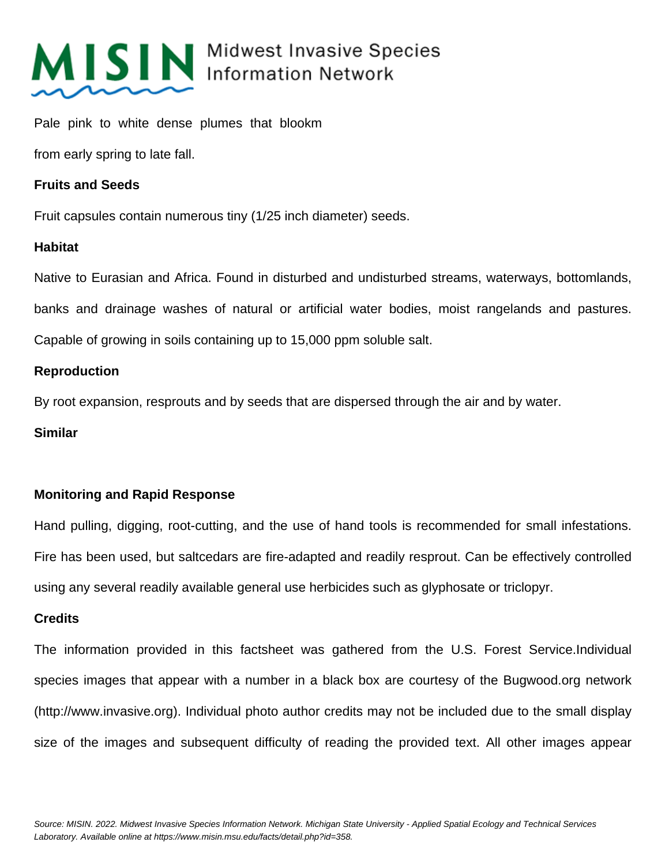

# MISIN Midwest Invasive Species

Pale pink to white dense plumes that blookm

from early spring to late fall.

#### **Fruits and Seeds**

Fruit capsules contain numerous tiny (1/25 inch diameter) seeds.

#### **Habitat**

Native to Eurasian and Africa. Found in disturbed and undisturbed streams, waterways, bottomlands, banks and drainage washes of natural or artificial water bodies, moist rangelands and pastures. Capable of growing in soils containing up to 15,000 ppm soluble salt.

## **Reproduction**

By root expansion, resprouts and by seeds that are dispersed through the air and by water.

#### **Similar**

# **Monitoring and Rapid Response**

Hand pulling, digging, root-cutting, and the use of hand tools is recommended for small infestations. Fire has been used, but saltcedars are fire-adapted and readily resprout. Can be effectively controlled using any several readily available general use herbicides such as glyphosate or triclopyr.

#### **Credits**

The information provided in this factsheet was gathered from the U.S. Forest Service.Individual species images that appear with a number in a black box are courtesy of the Bugwood.org network (http://www.invasive.org). Individual photo author credits may not be included due to the small display size of the images and subsequent difficulty of reading the provided text. All other images appear